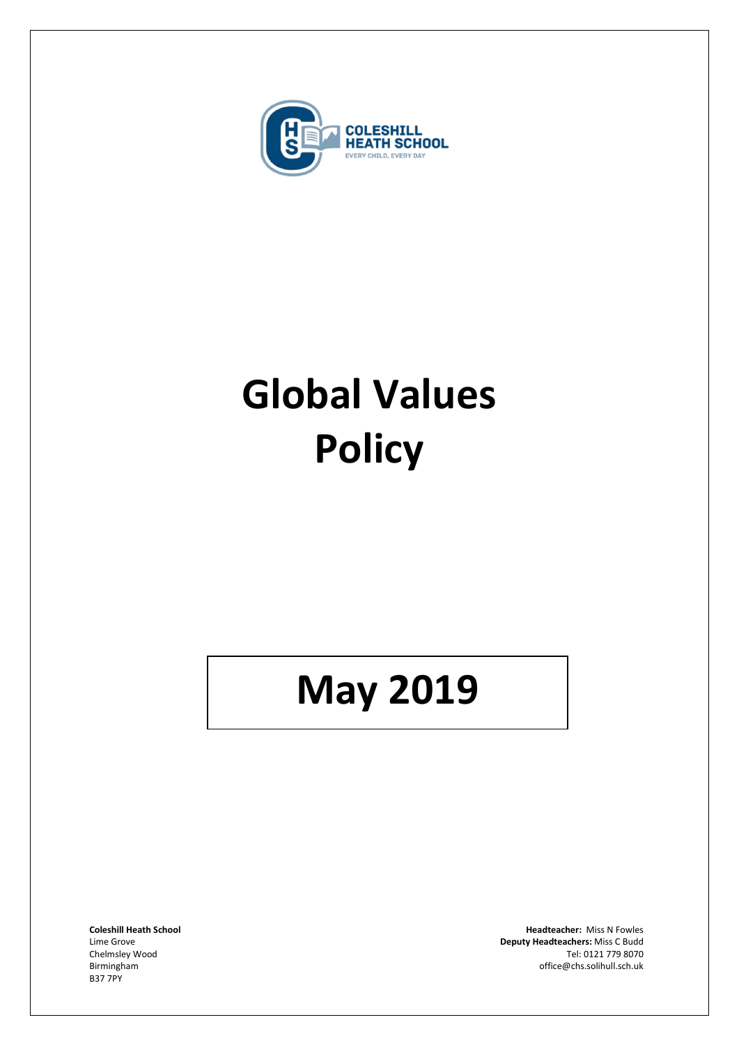

# **Global Values Policy**

## **May 2019**

B37 7PY

**Coleshill Heath School Headteacher:** Miss N Fowles Lime Grove **Deputy Headteachers:** Miss C Budd Chelmsley Wood Tel: 0121 779 8070<br>Birmingham de and the control of the control of the control of the control of the control of the control of the control of the control of the control of the control of the control of the c office@chs.solihull.sch.uk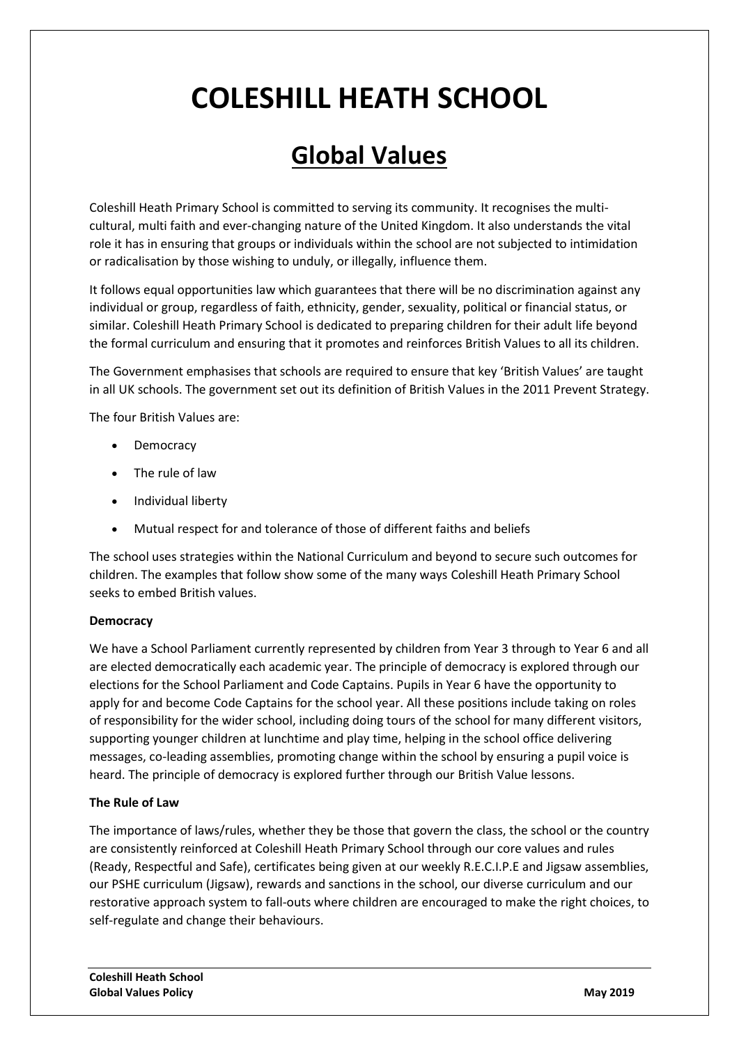### **COLESHILL HEATH SCHOOL**

### **Global Values**

Coleshill Heath Primary School is committed to serving its community. It recognises the multicultural, multi faith and ever-changing nature of the United Kingdom. It also understands the vital role it has in ensuring that groups or individuals within the school are not subjected to intimidation or radicalisation by those wishing to unduly, or illegally, influence them.

It follows equal opportunities law which guarantees that there will be no discrimination against any individual or group, regardless of faith, ethnicity, gender, sexuality, political or financial status, or similar. Coleshill Heath Primary School is dedicated to preparing children for their adult life beyond the formal curriculum and ensuring that it promotes and reinforces British Values to all its children.

The Government emphasises that schools are required to ensure that key 'British Values' are taught in all UK schools. The government set out its definition of British Values in the 2011 Prevent Strategy.

The four British Values are:

- Democracy
- The rule of law
- Individual liberty
- Mutual respect for and tolerance of those of different faiths and beliefs

The school uses strategies within the National Curriculum and beyond to secure such outcomes for children. The examples that follow show some of the many ways Coleshill Heath Primary School seeks to embed British values.

#### **Democracy**

We have a School Parliament currently represented by children from Year 3 through to Year 6 and all are elected democratically each academic year. The principle of democracy is explored through our elections for the School Parliament and Code Captains. Pupils in Year 6 have the opportunity to apply for and become Code Captains for the school year. All these positions include taking on roles of responsibility for the wider school, including doing tours of the school for many different visitors, supporting younger children at lunchtime and play time, helping in the school office delivering messages, co-leading assemblies, promoting change within the school by ensuring a pupil voice is heard. The principle of democracy is explored further through our British Value lessons.

#### **The Rule of Law**

The importance of laws/rules, whether they be those that govern the class, the school or the country are consistently reinforced at Coleshill Heath Primary School through our core values and rules (Ready, Respectful and Safe), certificates being given at our weekly R.E.C.I.P.E and Jigsaw assemblies, our PSHE curriculum (Jigsaw), rewards and sanctions in the school, our diverse curriculum and our restorative approach system to fall-outs where children are encouraged to make the right choices, to self-regulate and change their behaviours.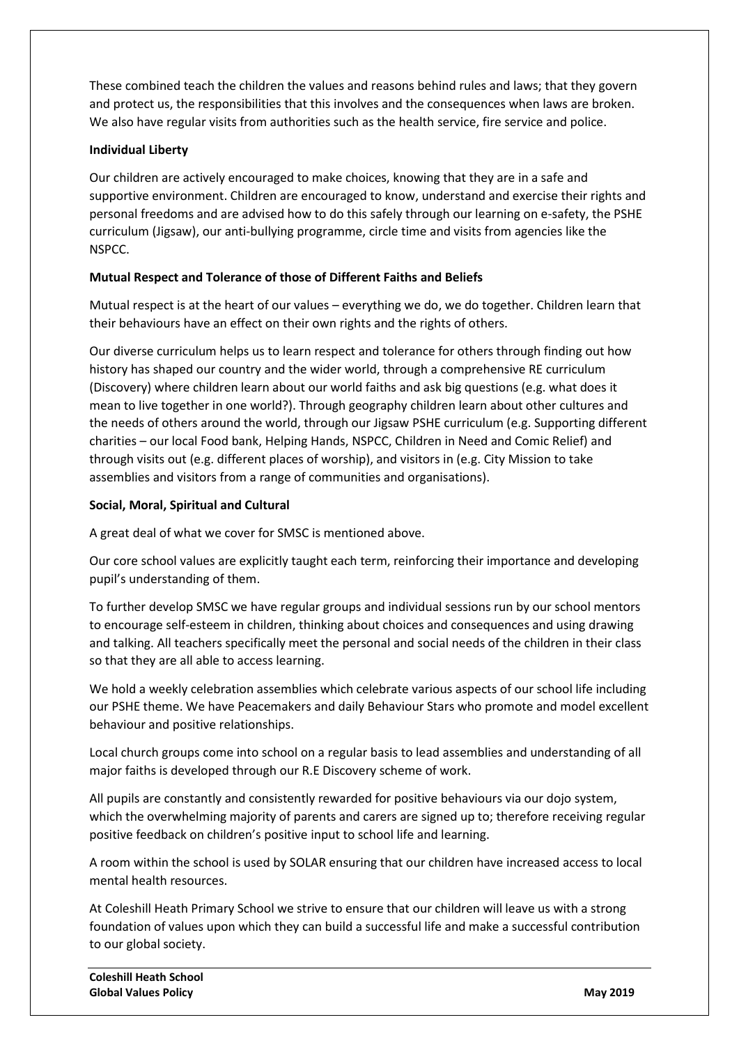These combined teach the children the values and reasons behind rules and laws; that they govern and protect us, the responsibilities that this involves and the consequences when laws are broken. We also have regular visits from authorities such as the health service, fire service and police.

#### **Individual Liberty**

Our children are actively encouraged to make choices, knowing that they are in a safe and supportive environment. Children are encouraged to know, understand and exercise their rights and personal freedoms and are advised how to do this safely through our learning on e-safety, the PSHE curriculum (Jigsaw), our anti-bullying programme, circle time and visits from agencies like the NSPCC.

#### **Mutual Respect and Tolerance of those of Different Faiths and Beliefs**

Mutual respect is at the heart of our values – everything we do, we do together. Children learn that their behaviours have an effect on their own rights and the rights of others.

Our diverse curriculum helps us to learn respect and tolerance for others through finding out how history has shaped our country and the wider world, through a comprehensive RE curriculum (Discovery) where children learn about our world faiths and ask big questions (e.g. what does it mean to live together in one world?). Through geography children learn about other cultures and the needs of others around the world, through our Jigsaw PSHE curriculum (e.g. Supporting different charities – our local Food bank, Helping Hands, NSPCC, Children in Need and Comic Relief) and through visits out (e.g. different places of worship), and visitors in (e.g. City Mission to take assemblies and visitors from a range of communities and organisations).

#### **Social, Moral, Spiritual and Cultural**

A great deal of what we cover for SMSC is mentioned above.

Our core school values are explicitly taught each term, reinforcing their importance and developing pupil's understanding of them.

To further develop SMSC we have regular groups and individual sessions run by our school mentors to encourage self-esteem in children, thinking about choices and consequences and using drawing and talking. All teachers specifically meet the personal and social needs of the children in their class so that they are all able to access learning.

We hold a weekly celebration assemblies which celebrate various aspects of our school life including our PSHE theme. We have Peacemakers and daily Behaviour Stars who promote and model excellent behaviour and positive relationships.

Local church groups come into school on a regular basis to lead assemblies and understanding of all major faiths is developed through our R.E Discovery scheme of work.

All pupils are constantly and consistently rewarded for positive behaviours via our dojo system, which the overwhelming majority of parents and carers are signed up to; therefore receiving regular positive feedback on children's positive input to school life and learning.

A room within the school is used by SOLAR ensuring that our children have increased access to local mental health resources.

At Coleshill Heath Primary School we strive to ensure that our children will leave us with a strong foundation of values upon which they can build a successful life and make a successful contribution to our global society.